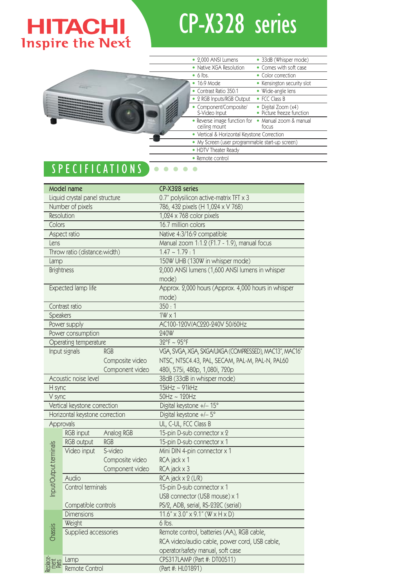## **HITACHI**<br>Inspire the Next

## CP-X328 series

|                                                                                                                                                                                                                                                                                                                                                                                                                                                            | • 2,000 ANSI Lumens                           | • 33dB (Whisper mode)                            |
|------------------------------------------------------------------------------------------------------------------------------------------------------------------------------------------------------------------------------------------------------------------------------------------------------------------------------------------------------------------------------------------------------------------------------------------------------------|-----------------------------------------------|--------------------------------------------------|
|                                                                                                                                                                                                                                                                                                                                                                                                                                                            | • Native XGA Resolution                       | • Comes with soft case                           |
|                                                                                                                                                                                                                                                                                                                                                                                                                                                            | $\bullet$ 6 lbs.                              | • Color correction                               |
|                                                                                                                                                                                                                                                                                                                                                                                                                                                            | 16:9 Mode                                     | • Kensington security slot                       |
|                                                                                                                                                                                                                                                                                                                                                                                                                                                            | • Contrast Ratio 350:1                        | · Wide-angle lens                                |
| -----------------------------<br><b><i><u>ANTIQUES DE LA PRODUCTION DE L'ANTIQUES DE L'ANTIQUES DE L'ANTIQUES DE L'ANTIQUES DE L'ANTIQUES DE L'ANTIQUES DE L'ANTIQUES DE L'ANTIQUES DE L'ANTIQUES DE L'ANTIQUES DE L'ANTIQUES DE L'ANTIQUES DE L'ANTIQUES DE L'ANTIQU</u></i></b><br><b><i><u>STATISTICS OF THE RESIDENCE OF THE STATISTICS OF THE STATISTICS OF THE STATISTICS OF THE STATISTICS OF THE ST</u></i></b><br><b>CONSTRUCTION</b><br>$\equiv$ | • 2 RGB Inputs/RGB Output                     | • FCC Class B                                    |
|                                                                                                                                                                                                                                                                                                                                                                                                                                                            | • Component/Composite/<br>S-Video Input       | · Digital Zoom (x4)<br>· Picture freeze function |
|                                                                                                                                                                                                                                                                                                                                                                                                                                                            | • Reverse image function for<br>ceiling mount | · Manual zoom & manual<br>focus                  |
|                                                                                                                                                                                                                                                                                                                                                                                                                                                            | • Vertical & Horizontal Keystone Correction   |                                                  |
|                                                                                                                                                                                                                                                                                                                                                                                                                                                            |                                               | • My Screen (user programmable start-up screen)  |
|                                                                                                                                                                                                                                                                                                                                                                                                                                                            | • HDTV Theater Ready                          |                                                  |
|                                                                                                                                                                                                                                                                                                                                                                                                                                                            | • Remote control                              |                                                  |
| <b>CPFCIFICA</b>                                                                                                                                                                                                                                                                                                                                                                                                                                           |                                               |                                                  |

## SPECIFICATIONS  $\bullet\bullet$

|                                | <b>Model name</b>            |                 | CP-X328 series                                            |  |
|--------------------------------|------------------------------|-----------------|-----------------------------------------------------------|--|
| Liquid crystal panel structure |                              |                 | 0.7" polysilicon active-matrix TFT x 3                    |  |
| Number of pixels               |                              |                 | 786, 432 pixels (H 1,024 x V 768)                         |  |
|                                | Resolution                   |                 | $1,024 \times 768$ color pixels                           |  |
| Colors                         |                              |                 | 16.7 million colors                                       |  |
|                                | Aspect ratio                 |                 | Native 4:3/16:9 compatible                                |  |
| Lens                           |                              |                 | Manual zoom 1:1.2 (F1.7 - 1.9), manual focus              |  |
|                                | Throw ratio (distance:width) |                 | $1.47 - 1.79 : 1$                                         |  |
| Lamp                           |                              |                 | 150W UHB (130W in whisper mode)                           |  |
| <b>Brightness</b>              |                              |                 | 2,000 ANSI lumens (1,600 ANSI lumens in whisper           |  |
|                                |                              |                 | mode)                                                     |  |
|                                | Expected lamp life           |                 | Approx. 2,000 hours (Approx. 4,000 hours in whisper       |  |
|                                |                              |                 | mode)                                                     |  |
|                                | Contrast ratio               |                 | 350:1                                                     |  |
| <b>Speakers</b>                |                              |                 | $1W \times 1$                                             |  |
|                                | Power supply                 |                 | AC100-120V/AC220-240V 50/60Hz                             |  |
|                                | Power consumption            |                 | 240W                                                      |  |
|                                | Operating temperature        |                 | 32°F ~ 95°F                                               |  |
|                                | Input signals                | <b>RGB</b>      | VGA, SVGA, XGA, SXGA/UXGA (COMPRESSED), MAC13", MAC16"    |  |
|                                |                              | Composite video | NTSC, NTSC4.43, PAL, SECAM, PAL-M, PAL-N, PAL60           |  |
|                                |                              | Component video | 480i, 575i, 480p, 1,080i, 720p                            |  |
| Acoustic noise level           |                              |                 | 38dB (33dB in whisper mode)                               |  |
| H sync                         |                              |                 | 15kHz ~ 91kHz                                             |  |
| V sync                         |                              |                 | $50Hz \sim 120Hz$                                         |  |
|                                | Vertical keystone correction |                 | Digital keystone +/- 15°                                  |  |
| Horizontal keystone correction |                              |                 | Digital keystone +/-5°                                    |  |
| Approvals                      |                              |                 | UL, C-UL, FCC Class B                                     |  |
|                                | RGB input                    | Analog RGB      | 15-pin D-sub connector x 2                                |  |
|                                | RGB output                   | <b>RGB</b>      | 15-pin D-sub connector x 1                                |  |
|                                | Video input                  | S-video         | Mini DIN 4-pin connector x 1                              |  |
|                                |                              | Composite video | RCA jack x 1                                              |  |
|                                |                              | Component video | RCA jack x 3                                              |  |
| Input/Output terminals         | Audio                        |                 | RCA jack x 2 (L/R)                                        |  |
|                                | Control terminals            |                 | 15-pin D-sub connector x 1                                |  |
|                                |                              |                 | USB connector (USB mouse) x 1                             |  |
|                                | Compatible controls          |                 | PS/2, ADB, serial, RS-232C (serial)                       |  |
|                                | <b>Dimensions</b>            |                 | $11.6" \times 3.0" \times 9.1"$ (W $\times$ H $\times$ D) |  |
|                                | Weight                       |                 | 6 lbs.                                                    |  |
| Chassis                        | Supplied accessories         |                 | Remote control, batteries (AA), RGB cable,                |  |
|                                |                              |                 | RCA video/audio cable, power cord, USB cable,             |  |
|                                |                              |                 | operator/safety manual, soft case                         |  |
|                                | Lamp                         |                 | CPS317LAMP (Part #: DT00511)                              |  |
| Remote Control                 |                              |                 | (Part #: HL01891)                                         |  |